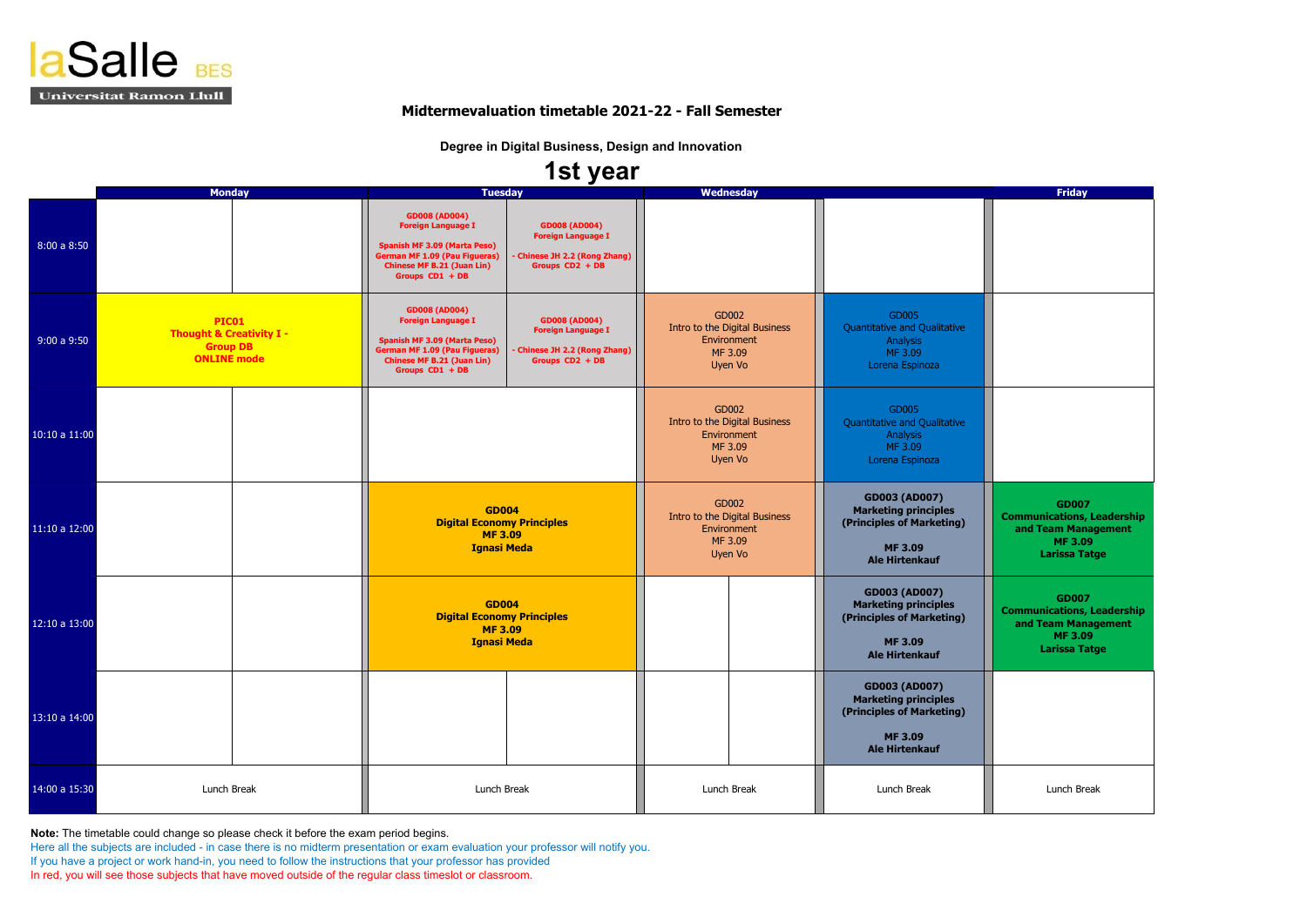| <b>Friday</b>                        |  |
|--------------------------------------|--|
|                                      |  |
|                                      |  |
|                                      |  |
|                                      |  |
|                                      |  |
|                                      |  |
|                                      |  |
|                                      |  |
|                                      |  |
|                                      |  |
|                                      |  |
|                                      |  |
|                                      |  |
|                                      |  |
|                                      |  |
|                                      |  |
|                                      |  |
| <b>GD007</b>                         |  |
| <b>Communications, Leadership</b>    |  |
| and Team Management<br><b>MF3.09</b> |  |
| <b>Larissa Tatge</b>                 |  |
|                                      |  |
| <b>GD007</b>                         |  |
| <b>Communications, Leadership</b>    |  |
| and Team Management<br><b>MF3.09</b> |  |
| <b>Larissa Tatge</b>                 |  |
|                                      |  |
|                                      |  |
|                                      |  |
|                                      |  |
|                                      |  |
|                                      |  |
| Lunch Break                          |  |

|               | <b>Monday</b>                                                                         | <b>Tuesday</b>                                                                                                                                                                                                                                                                                    | <b>Wednesday</b>                                                                                                                                                                                           | <b>Friday</b>                                                                                        |
|---------------|---------------------------------------------------------------------------------------|---------------------------------------------------------------------------------------------------------------------------------------------------------------------------------------------------------------------------------------------------------------------------------------------------|------------------------------------------------------------------------------------------------------------------------------------------------------------------------------------------------------------|------------------------------------------------------------------------------------------------------|
| 8:00a8:50     |                                                                                       | <b>GD008 (AD004)</b><br><b>GD008 (AD004)</b><br><b>Foreign Language I</b><br><b>Foreign Language I</b><br><b>Spanish MF 3.09 (Marta Peso)</b><br><b>German MF 1.09 (Pau Figueras)</b><br>Chinese JH 2.2 (Rong Zhang)<br><b>Chinese MF B.21 (Juan Lin)</b><br>Groups CD2 + DB<br>Groups $CD1 + DB$ |                                                                                                                                                                                                            |                                                                                                      |
| 9:00a9:50     | PIC01<br><b>Thought &amp; Creativity I -</b><br><b>Group DB</b><br><b>ONLINE mode</b> | <b>GD008 (AD004)</b><br><b>Foreign Language I</b><br><b>GD008 (AD004)</b><br><b>Foreign Language I</b><br><b>Spanish MF 3.09 (Marta Peso)</b><br><b>German MF 1.09 (Pau Figueras)</b><br>- Chinese JH 2.2 (Rong Zhang)<br><b>Chinese MF B.21 (Juan Lin)</b><br>Groups CD2 + DB<br>Groups CD1 + DB | GD002<br>GD005<br>Intro to the Digital Business<br><b>Quantitative and Qualitative</b><br>Environment<br>Analysis<br>MF 3.09<br>MF 3.09<br>Uyen Vo<br>Lorena Espinoza                                      |                                                                                                      |
| 10:10 a 11:00 |                                                                                       |                                                                                                                                                                                                                                                                                                   | GD002<br>GD005<br>Intro to the Digital Business<br><b>Quantitative and Qualitative</b><br>Environment<br>Analysis<br>MF 3.09<br>MF 3.09<br>Uyen Vo<br>Lorena Espinoza                                      |                                                                                                      |
| 11:10 a 12:00 |                                                                                       | <b>GD004</b><br><b>Digital Economy Principles</b><br><b>MF3.09</b><br><b>Ignasi Meda</b>                                                                                                                                                                                                          | <b>GD003 (AD007)</b><br>GD002<br><b>Marketing principles</b><br>Intro to the Digital Business<br>(Principles of Marketing)<br>Environment<br>MF 3.09<br><b>MF 3.09</b><br>Uyen Vo<br><b>Ale Hirtenkauf</b> | <b>GD007</b><br><b>Communications, Le</b><br>and Team Manag<br><b>MF 3.09</b><br><b>Larissa Tatg</b> |
| 12:10 a 13:00 |                                                                                       | <b>GD004</b><br><b>Digital Economy Principles</b><br><b>MF3.09</b><br><b>Ignasi Meda</b>                                                                                                                                                                                                          | <b>GD003 (AD007)</b><br><b>Marketing principles</b><br>(Principles of Marketing)<br><b>MF 3.09</b><br><b>Ale Hirtenkauf</b>                                                                                | <b>GD007</b><br><b>Communications, Le</b><br>and Team Manag<br>MF 3.09<br><b>Larissa Tatg</b>        |
| 13:10 a 14:00 |                                                                                       |                                                                                                                                                                                                                                                                                                   | <b>GD003 (AD007)</b><br><b>Marketing principles</b><br>(Principles of Marketing)<br><b>MF 3.09</b><br><b>Ale Hirtenkauf</b>                                                                                |                                                                                                      |
| 14:00 a 15:30 | Lunch Break                                                                           | Lunch Break                                                                                                                                                                                                                                                                                       | Lunch Break<br>Lunch Break                                                                                                                                                                                 | Lunch Break                                                                                          |

**Note:** The timetable could change so please check it before the exam period begins.

Here all the subjects are included - in case there is no midterm presentation or exam evaluation your professor will notify you.

If you have a project or work hand-in, you need to follow the instructions that your professor has provided

In red, you will see those subjects that have moved outside of the regular class timeslot or classroom.



### **Midtermevaluation timetable 2021-22 - Fall Semester**

**Degree in Digital Business, Design and Innovation**

# **1st year**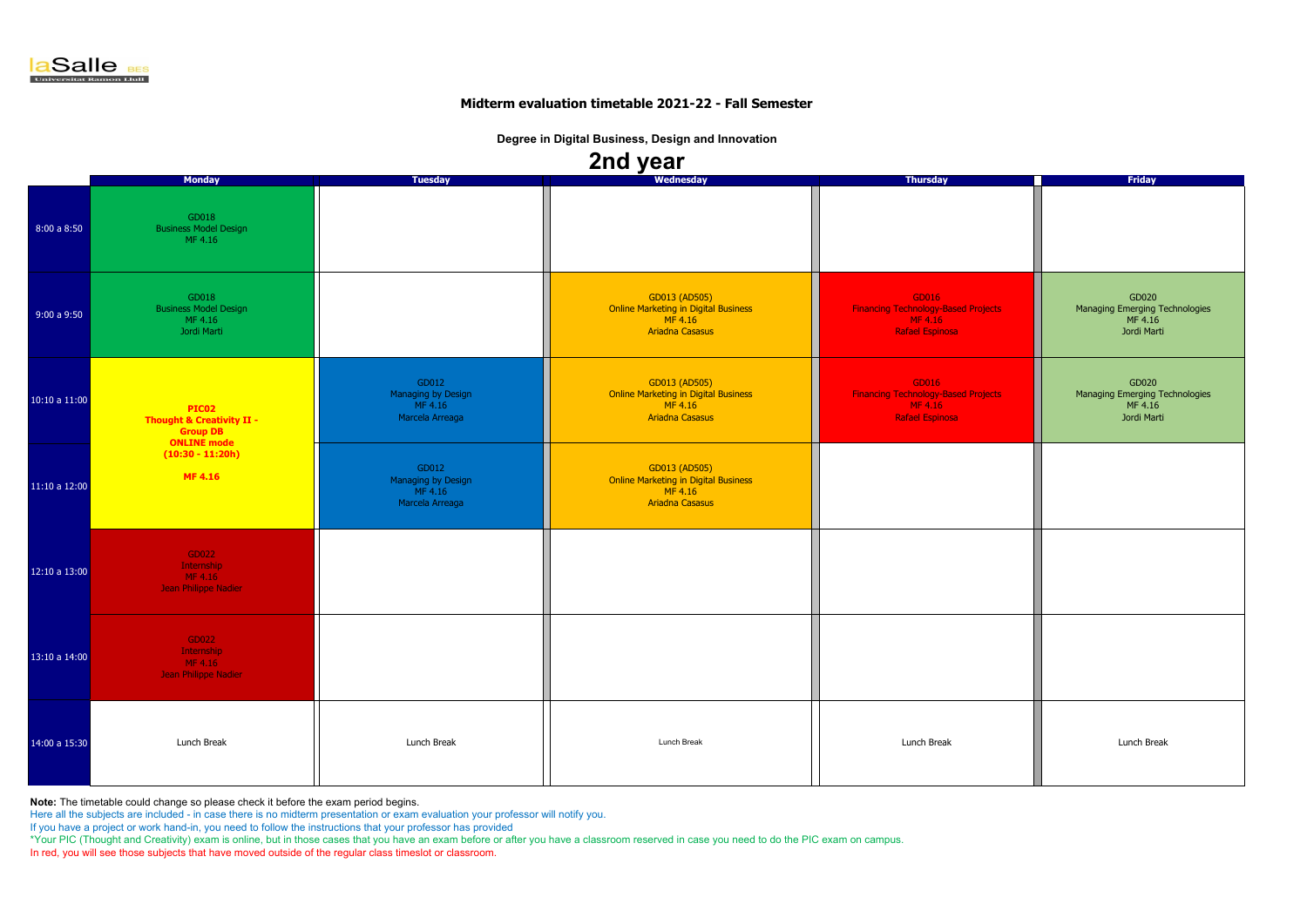**Note:** The timetable could change so please check it before the exam period begins.

Here all the subjects are included - in case there is no midterm presentation or exam evaluation your professor will notify you.

If you have a project or work hand-in, you need to follow the instructions that your professor has provided

\*Your PIC (Thought and Creativity) exam is online, but in those cases that you have an exam before or after you have a classroom reserved in case you need to do the PIC exam on campus.

In red, you will see those subjects that have moved outside of the regular class timeslot or classroom.

|               |                                                                                        |                                                           | $\blacksquare$                                                                                    |                                                                                          |                                                                   |
|---------------|----------------------------------------------------------------------------------------|-----------------------------------------------------------|---------------------------------------------------------------------------------------------------|------------------------------------------------------------------------------------------|-------------------------------------------------------------------|
|               | <b>Monday</b>                                                                          | <b>Tuesday</b>                                            | Wednesday                                                                                         | <b>Thursday</b>                                                                          | <b>Friday</b>                                                     |
| 8:00a8:50     | GD018<br><b>Business Model Design</b><br>MF 4.16                                       |                                                           |                                                                                                   |                                                                                          |                                                                   |
| 9:00a9:50     | GD018<br><b>Business Model Design</b><br>MF 4.16<br>Jordi Marti                        |                                                           | GD013 (AD505)<br><b>Online Marketing in Digital Business</b><br>MF 4.16<br><b>Ariadna Casasus</b> | GD016<br><b>Financing Technology-Based Projects</b><br>MF 4.16<br><b>Rafael Espinosa</b> | GD020<br>Managing Emerging Technologies<br>MF 4.16<br>Jordi Marti |
| 10:10 a 11:00 | PIC02<br><b>Thought &amp; Creativity II -</b><br><b>Group DB</b><br><b>ONLINE</b> mode | GD012<br>Managing by Design<br>MF 4.16<br>Marcela Arreaga | GD013 (AD505)<br><b>Online Marketing in Digital Business</b><br>MF 4.16<br><b>Ariadna Casasus</b> | GD016<br><b>Financing Technology-Based Projects</b><br>MF 4.16<br><b>Rafael Espinosa</b> | GD020<br>Managing Emerging Technologies<br>MF 4.16<br>Jordi Marti |
| 11:10 a 12:00 | $(10:30 - 11:20h)$<br><b>MF4.16</b>                                                    | GD012<br>Managing by Design<br>MF 4.16<br>Marcela Arreaga | GD013 (AD505)<br><b>Online Marketing in Digital Business</b><br>MF 4.16<br><b>Ariadna Casasus</b> |                                                                                          |                                                                   |
| 12:10 a 13:00 | GD022<br>Internship<br>MF 4.16<br>Jean Philippe Nadier                                 |                                                           |                                                                                                   |                                                                                          |                                                                   |
| 13:10a 14:00  | GD022<br>Internship<br>MF 4.16<br>Jean Philippe Nadier                                 |                                                           |                                                                                                   |                                                                                          |                                                                   |
| 14:00 a 15:30 | Lunch Break                                                                            | Lunch Break                                               | Lunch Break                                                                                       | Lunch Break                                                                              | Lunch Break                                                       |



#### **Midterm evaluation timetable 2021-22 - Fall Semester**

**Degree in Digital Business, Design and Innovation**

## **2nd year**